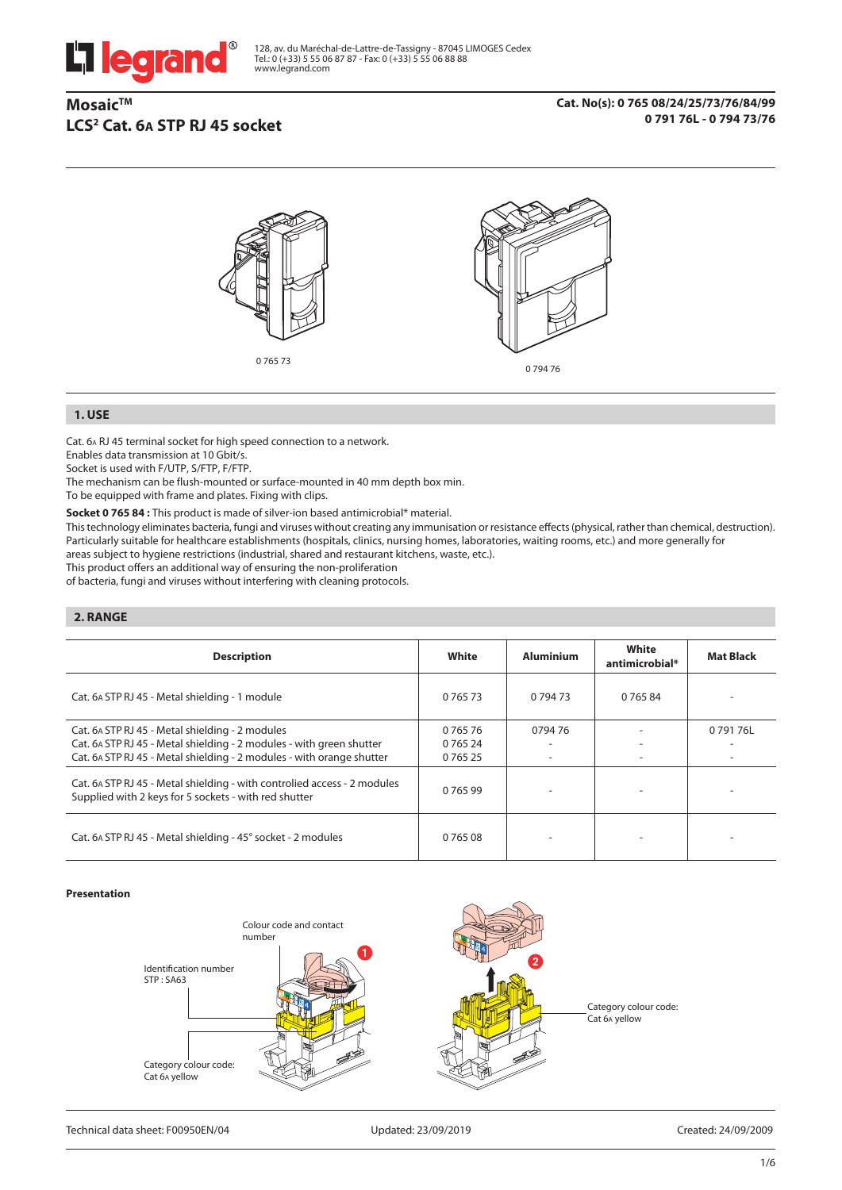

128, av. du Maréchal-de-Lattre-de-Tassigny - 87045 LIMOGES Cedex Tel.: 0 (+33) 5 55 06 87 87 - Fax: 0 (+33) 5 55 06 88 88 www.legrand.com

# **Mosaic™ LCS2 Cat. 6A STP RJ 45 socket**

**Cat. No(s): 0 765 08/24/25/73/76/84/99 0 791 76L - 0 794 73/76**



### **1. USE**

Cat. 6A RJ 45 terminal socket for high speed connection to a network.

Enables data transmission at 10 Gbit/s.

Socket is used with F/UTP, S/FTP, F/FTP.

The mechanism can be flush-mounted or surface-mounted in 40 mm depth box min.

To be equipped with frame and plates. Fixing with clips.

**Socket 0 765 84 :** This product is made of silver-ion based antimicrobial\* material.

This technology eliminates bacteria, fungi and viruses without creating any immunisation or resistance effects (physical, rather than chemical, destruction). Particularly suitable for healthcare establishments (hospitals, clinics, nursing homes, laboratories, waiting rooms, etc.) and more generally for areas subject to hygiene restrictions (industrial, shared and restaurant kitchens, waste, etc.).

This product offers an additional way of ensuring the non-proliferation

of bacteria, fungi and viruses without interfering with cleaning protocols.

## **2. RANGE**

| <b>Description</b>                                                                                                                                                                               | White                               | <b>Aluminium</b> | White<br>antimicrobial* | <b>Mat Black</b> |
|--------------------------------------------------------------------------------------------------------------------------------------------------------------------------------------------------|-------------------------------------|------------------|-------------------------|------------------|
| Cat. 6A STP RJ 45 - Metal shielding - 1 module                                                                                                                                                   | 0 765 73                            | 0 794 73         | 0 765 84                |                  |
| Cat. 6A STP RJ 45 - Metal shielding - 2 modules<br>Cat. 6A STP RJ 45 - Metal shielding - 2 modules - with green shutter<br>Cat. 6A STP RJ 45 - Metal shielding - 2 modules - with orange shutter | 0 765 76<br>0 765 24<br>0 7 6 5 2 5 | 079476           |                         | 079176L          |
| Cat. 6A STP RJ 45 - Metal shielding - with controlied access - 2 modules<br>Supplied with 2 keys for 5 sockets - with red shutter                                                                | 0 7 6 5 9 9                         |                  |                         |                  |
| Cat. 6A STP RJ 45 - Metal shielding - 45° socket - 2 modules                                                                                                                                     | 0 765 08                            |                  |                         |                  |

#### **Presentation**

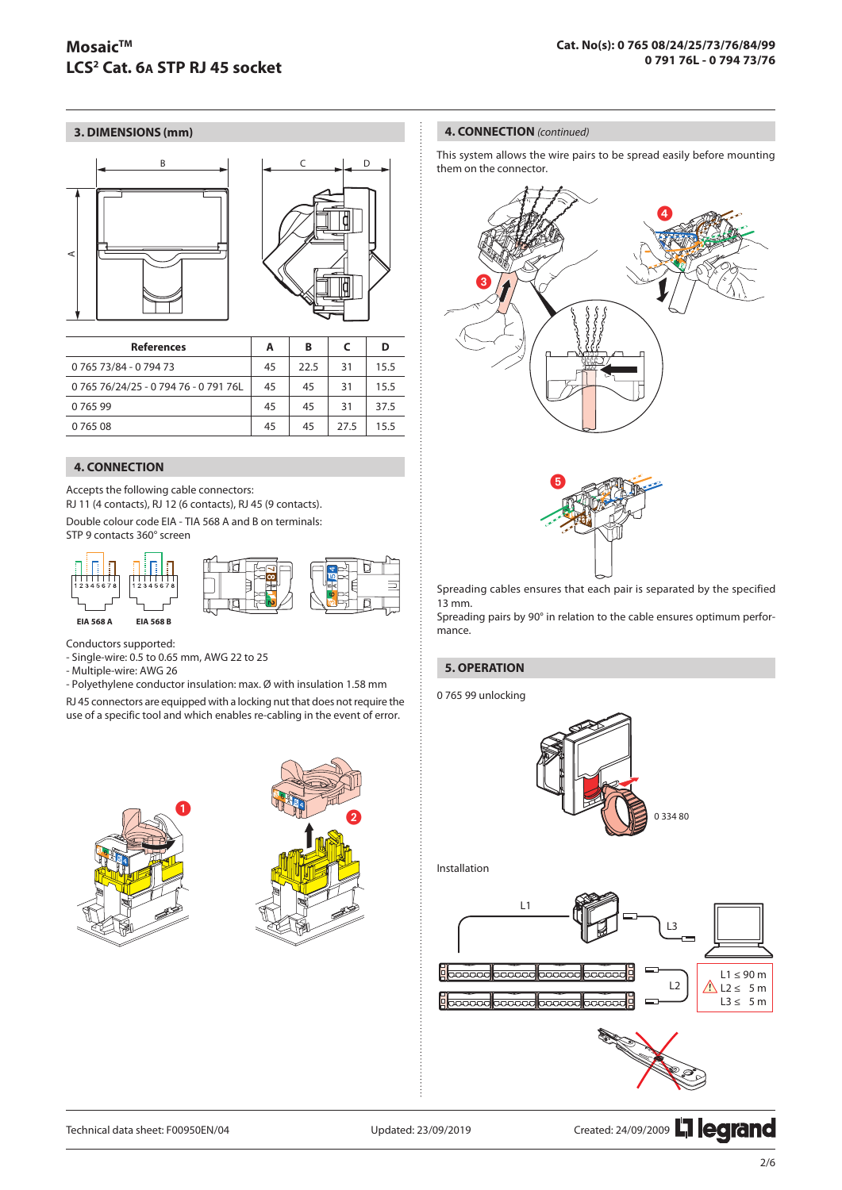## **3. DIMENSIONS (mm)**



| <b>References</b>           | A  | В    | C    | D    |
|-----------------------------|----|------|------|------|
| 0 765 73/84 - 0 794 73      | 45 | 22.5 | 31   | 15.5 |
| 076576/24/25-079476-079176L | 45 | 45   | 31   | 15.5 |
| 076599                      | 45 | 45   | 31   | 37.5 |
| 0 765 08                    | 45 | 45   | 27.5 | 15.5 |

## **4. CONNECTION**

Accepts the following cable connectors:

RJ 11 (4 contacts), RJ 12 (6 contacts), RJ 45 (9 contacts).

Double colour code EIA - TIA 568 A and B on terminals: STP 9 contacts 360° screen



Conductors supported:

- Single-wire: 0.5 to 0.65 mm, AWG 22 to 25

- Multiple-wire: AWG 26

- Polyethylene conductor insulation: max. Ø with insulation 1.58 mm

RJ 45 connectors are equipped with a locking nut that does not require the use of a specific tool and which enables re-cabling in the event of error.





#### **4. CONNECTION** *(continued)*

This system allows the wire pairs to be spread easily before mounting them on the connector.





Spreading cables ensures that each pair is separated by the specified 13 mm.

Spreading pairs by 90° in relation to the cable ensures optimum performance.

### **5. OPERATION**

0 765 99 unlocking



Installation



Technical data sheet: F00950EN/04 Updated: 23/09/2019 Created: 24/09/2009 THE CONTRO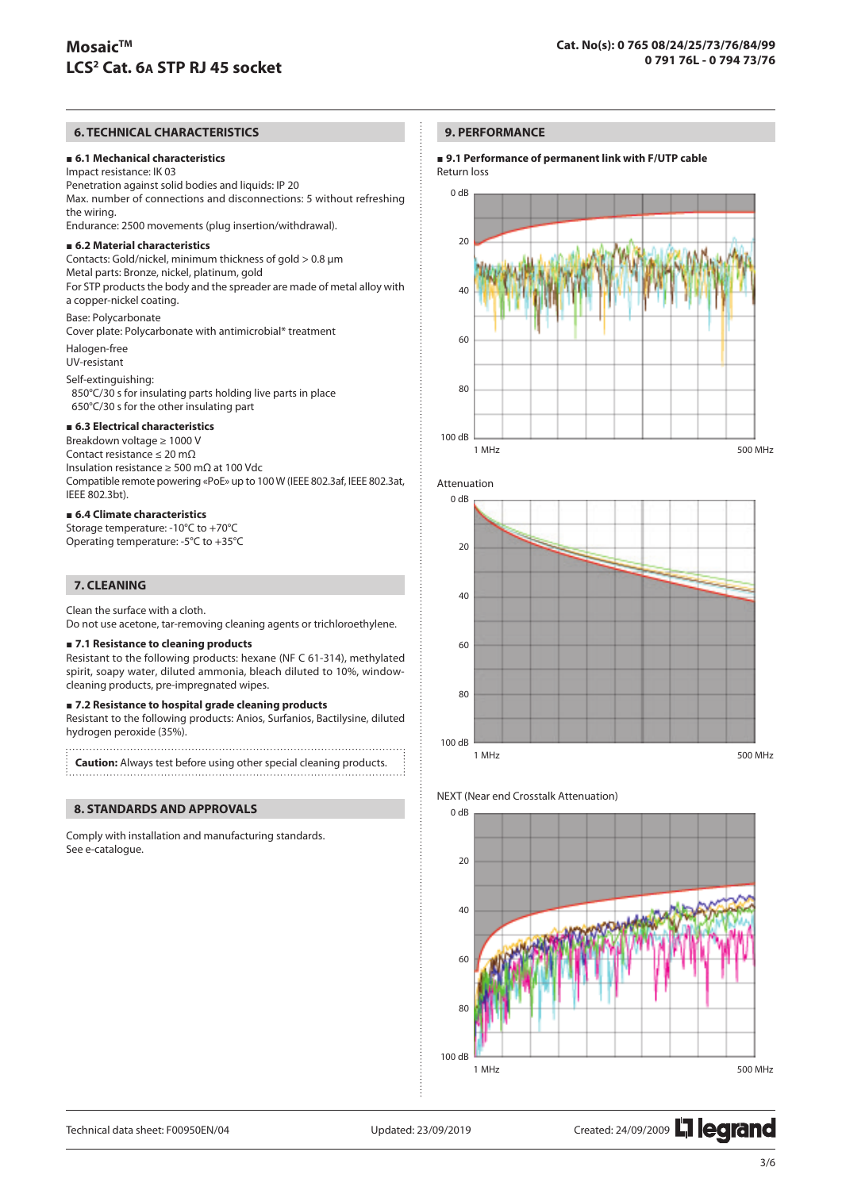## **6. TECHNICAL CHARACTERISTICS**

#### **6.1 Mechanical characteristics**

Impact resistance: IK 03 Penetration against solid bodies and liquids: IP 20 Max. number of connections and disconnections: 5 without refreshing the wiring. Endurance: 2500 movements (plug insertion/withdrawal).

#### **6.2 Material characteristics**

Contacts: Gold/nickel, minimum thickness of gold > 0.8 µm Metal parts: Bronze, nickel, platinum, gold For STP products the body and the spreader are made of metal alloy with a copper-nickel coating. Base: Polycarbonate

Cover plate: Polycarbonate with antimicrobial\* treatment

Halogen-free UV-resistant

Self-extinguishing: 850°C/30 s for insulating parts holding live parts in place 650°C/30 s for the other insulating part

### **6.3 Electrical characteristics**

Breakdown voltage ≥ 1000 V Contact resistance ≤ 20 mΩ Insulation resistance ≥ 500 mΩ at 100 Vdc Compatible remote powering «PoE» up to 100 W (IEEE 802.3af, IEEE 802.3at, IEEE 802.3bt).

### **6.4 Climate characteristics**

Storage temperature: -10°C to +70°C Operating temperature: -5°C to +35°C

## **7. CLEANING**

Clean the surface with a cloth.

Do not use acetone, tar-removing cleaning agents or trichloroethylene.

#### **7.1 Resistance to cleaning products**

Resistant to the following products: hexane (NF C 61-314), methylated spirit, soapy water, diluted ammonia, bleach diluted to 10%, windowcleaning products, pre-impregnated wipes.

#### **7.2 Resistance to hospital grade cleaning products**

Resistant to the following products: Anios, Surfanios, Bactilysine, diluted hydrogen peroxide (35%).

**Caution:** Always test before using other special cleaning products.

#### **8. STANDARDS AND APPROVALS**

Comply with installation and manufacturing standards. See e-catalogue.

#### **9. PERFORMANCE**

#### **9.1 Performance of permanent link with F/UTP cable** Return loss









Technical data sheet: F00950EN/04 Updated: 23/09/2019 Created: 24/09/2009 2009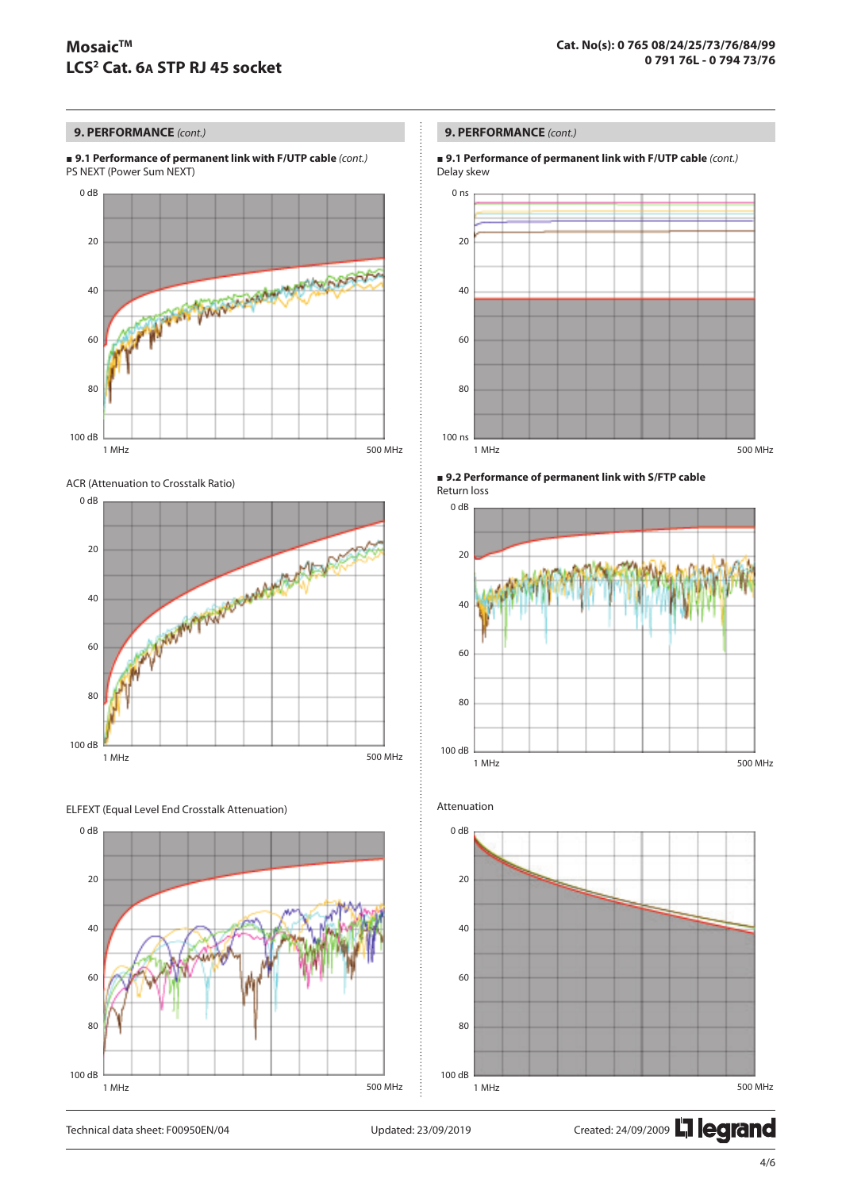## **9. PERFORMANCE** *(cont.)*

 **9.1 Performance of permanent link with F/UTP cable** *(cont.)* PS NEXT (Power Sum NEXT)



ACR (Attenuation to Crosstalk Ratio)







## **9. PERFORMANCE** *(cont.)*

 **9.1 Performance of permanent link with F/UTP cable** *(cont.)* Delay skew









Technical data sheet: F00950EN/04 Updated: 23/09/2019 Created: 24/09/2009 Lated: 24/09/2009 Lated: 24/09/2009 Lated: 24/09/2009 Lated: 25/09/2009 Lated: 25/09/2019 Created: 24/09/2009 Lated: 25/09/2009 Lated: 25/09/2009 La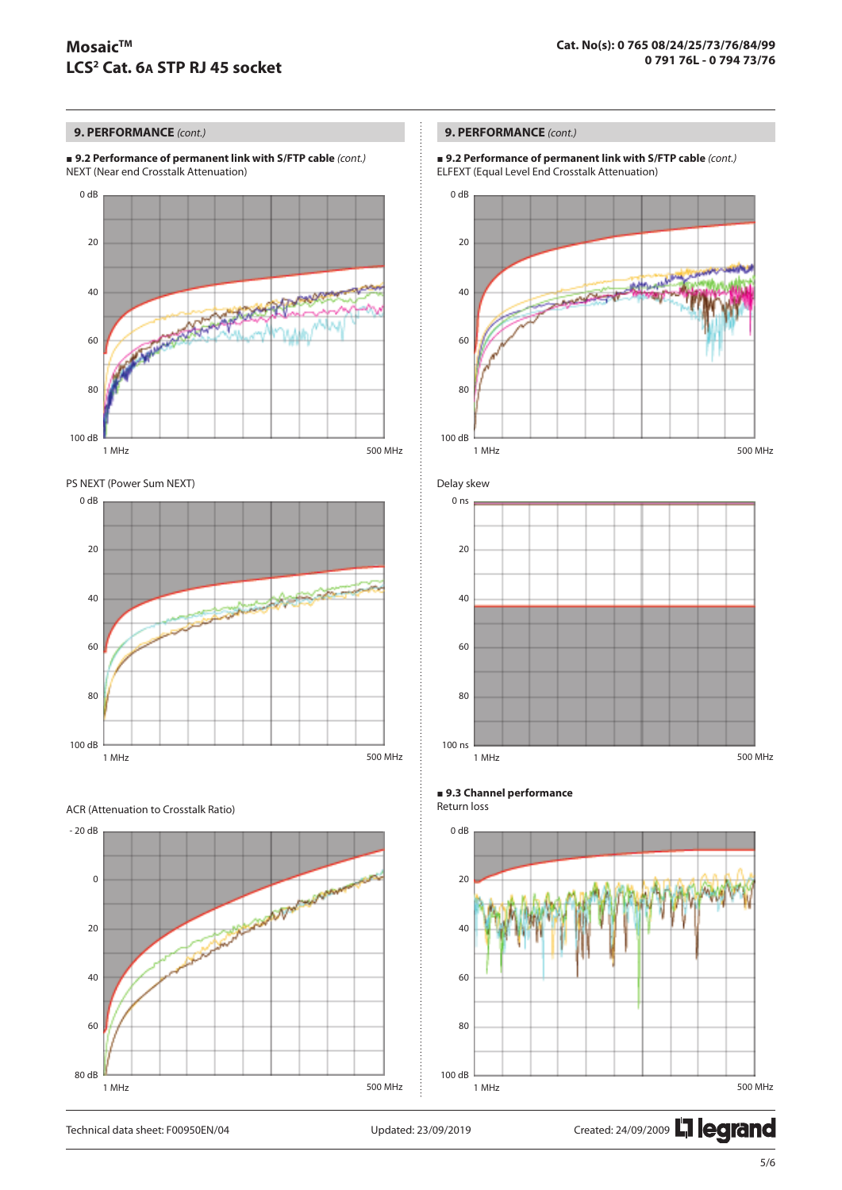# **MosaicTM LCS2 Cat. 6A STP RJ 45 socket**

## **9. PERFORMANCE** *(cont.)*

 **9.2 Performance of permanent link with S/FTP cable** *(cont.)* NEXT (Near end Crosstalk Attenuation)







#### ACR (Attenuation to Crosstalk Ratio)



## **9. PERFORMANCE** *(cont.)*

 **9.2 Performance of permanent link with S/FTP cable** *(cont.)* ELFEXT (Equal Level End Crosstalk Attenuation)





#### **9.3 Channel performance** Return loss



Technical data sheet: F00950EN/04 Updated: 23/09/2019 Created: 24/09/2009 Lated: 24/09/2009 Lated: 24/09/2009 Lated: 24/09/2009 Lated: 25/09/2009 Lated: 25/09/2019